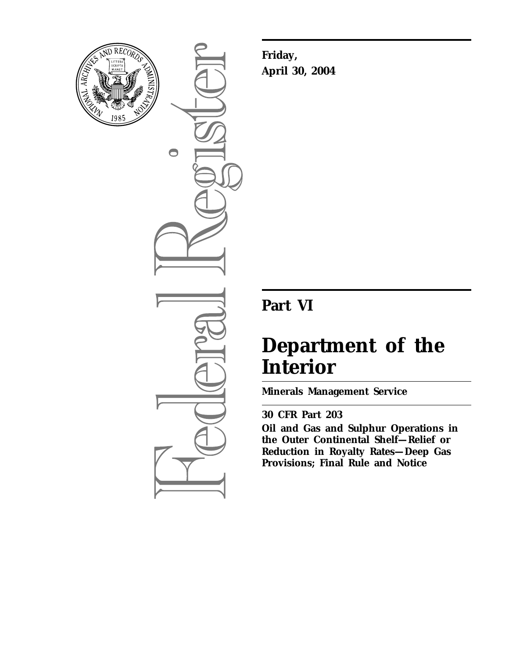

 $\bigcirc$ 

**Friday, April 30, 2004**

## **Part VI**

# **Department of the Interior**

**Minerals Management Service** 

## **30 CFR Part 203**

**Oil and Gas and Sulphur Operations in the Outer Continental Shelf—Relief or Reduction in Royalty Rates—Deep Gas Provisions; Final Rule and Notice**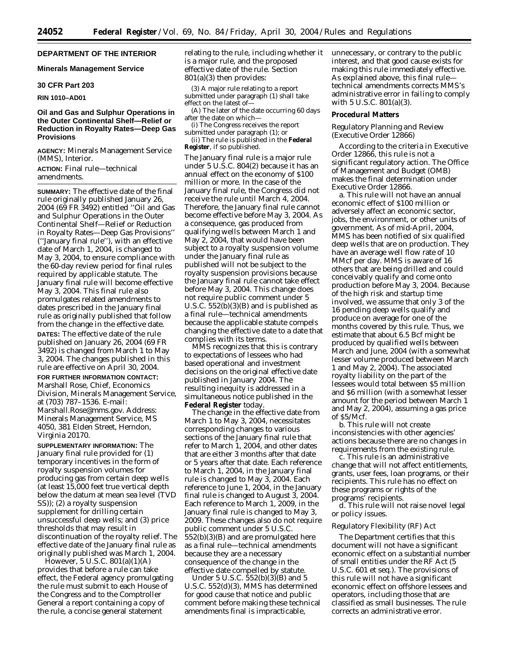## **DEPARTMENT OF THE INTERIOR**

## **Minerals Management Service**

## **30 CFR Part 203**

#### **RIN 1010–AD01**

## **Oil and Gas and Sulphur Operations in the Outer Continental Shelf—Relief or Reduction in Royalty Rates—Deep Gas Provisions**

**AGENCY:** Minerals Management Service (MMS), Interior.

**ACTION:** Final rule—technical amendments.

**SUMMARY:** The effective date of the final rule originally published January 26, 2004 (69 FR 3492) entitled ''Oil and Gas and Sulphur Operations in the Outer Continental Shelf—Relief or Reduction in Royalty Rates—Deep Gas Provisions'' (''January final rule''), with an effective date of March 1, 2004, is changed to May 3, 2004, to ensure compliance with the 60-day review period for final rules required by applicable statute. The January final rule will become effective May 3, 2004. This final rule also promulgates related amendments to dates prescribed in the January final rule as originally published that follow from the change in the effective date. **DATES:** The effective date of the rule published on January 26, 2004 (69 FR 3492) is changed from March 1 to May 3, 2004. The changes published in this rule are effective on April 30, 2004.

**FOR FURTHER INFORMATION CONTACT:** Marshall Rose, Chief, Economics Division, Minerals Management Service, at (703) 787–1536. E-mail: *Marshall.Rose@mms.gov.* Address: Minerals Management Service, MS 4050, 381 Elden Street, Herndon, Virginia 20170.

**SUPPLEMENTARY INFORMATION:** The January final rule provided for (1) temporary incentives in the form of royalty suspension volumes for producing gas from certain deep wells (at least 15,000 feet true vertical depth below the datum at mean sea level (TVD SS)); (2) a royalty suspension supplement for drilling certain unsuccessful deep wells; and (3) price thresholds that may result in discontinuation of the royalty relief. The effective date of the January final rule as originally published was March 1, 2004.

However, 5 U.S.C. 801(a)(1)(A) provides that before a rule can take effect, the Federal agency promulgating the rule must submit to each House of the Congress and to the Comptroller General a report containing a copy of the rule, a concise general statement

relating to the rule, including whether it is a major rule, and the proposed effective date of the rule. Section 801(a)(3) then provides:

(3) A major rule relating to a report submitted under paragraph (1) shall take effect on the latest of—

(A) The later of the date occurring 60 days after the date on which—

(i) The Congress receives the report submitted under paragraph (1); or (ii) The rule is published in the **Federal Register**, if so published.

The January final rule is a major rule under 5 U.S.C. 804(2) because it has an annual effect on the economy of \$100 million or more. In the case of the January final rule, the Congress did not receive the rule until March 4, 2004. Therefore, the January final rule cannot become effective before May 3, 2004. As a consequence, gas produced from qualifying wells between March 1 and May 2, 2004, that would have been subject to a royalty suspension volume under the January final rule as published will not be subject to the royalty suspension provisions because the January final rule cannot take effect before May 3, 2004. This change does not require public comment under 5 U.S.C.  $552(b)(3)(B)$  and is published as a final rule—technical amendments because the applicable statute compels changing the effective date to a date that complies with its terms.

MMS recognizes that this is contrary to expectations of lessees who had based operational and investment decisions on the original effective date published in January 2004. The resulting inequity is addressed in a simultaneous notice published in the **Federal Register** today.

The change in the effective date from March 1 to May 3, 2004, necessitates corresponding changes to various sections of the January final rule that refer to March 1, 2004, and other dates that are either 3 months after that date or 5 years after that date. Each reference to March 1, 2004, in the January final rule is changed to May 3, 2004. Each reference to June 1, 2004, in the January final rule is changed to August 3, 2004. Each reference to March 1, 2009, in the January final rule is changed to May 3, 2009. These changes also do not require public comment under 5 U.S.C. 552(b)(3)(B) and are promulgated here as a final rule—technical amendments because they are a necessary consequence of the change in the effective date compelled by statute.

Under 5 U.S.C.  $552(b)(3)(B)$  and 5 U.S.C. 552(d)(3), MMS has determined for good cause that notice and public comment before making these technical amendments final is impracticable,

unnecessary, or contrary to the public interest, and that good cause exists for making this rule immediately effective. As explained above, this final rule technical amendments corrects MMS's administrative error in failing to comply with 5 U.S.C. 801(a)(3).

#### **Procedural Matters**

## *Regulatory Planning and Review (Executive Order 12866)*

According to the criteria in Executive Order 12866, this rule is not a significant regulatory action. The Office of Management and Budget (OMB) makes the final determination under Executive Order 12866.

a. This rule will not have an annual economic effect of \$100 million or adversely affect an economic sector, jobs, the environment, or other units of government. As of mid-April, 2004, MMS has been notified of six qualified deep wells that are on production. They have an average well flow rate of 10 MMcf per day. MMS is aware of 16 others that are being drilled and could conceivably qualify and come onto production before May 3, 2004. Because of the high risk and startup time involved, we assume that only 3 of the 16 pending deep wells qualify and produce on average for one of the months covered by this rule. Thus, we estimate that about 6.5 Bcf might be produced by qualified wells between March and June, 2004 (with a somewhat lesser volume produced between March 1 and May 2, 2004). The associated royalty liability on the part of the lessees would total between \$5 million and \$6 million (with a somewhat lesser amount for the period between March 1 and May 2, 2004), assuming a gas price of \$5/Mcf.

b. This rule will not create inconsistencies with other agencies' actions because there are no changes in requirements from the existing rule.

c. This rule is an administrative change that will not affect entitlements, grants, user fees, loan programs, or their recipients. This rule has no effect on these programs or rights of the programs' recipients.

d. This rule will not raise novel legal or policy issues.

## *Regulatory Flexibility (RF) Act*

The Department certifies that this document will not have a significant economic effect on a substantial number of small entities under the RF Act (5 U.S.C. 601 *et seq.*). The provisions of this rule will not have a significant economic effect on offshore lessees and operators, including those that are classified as small businesses. The rule corrects an administrative error.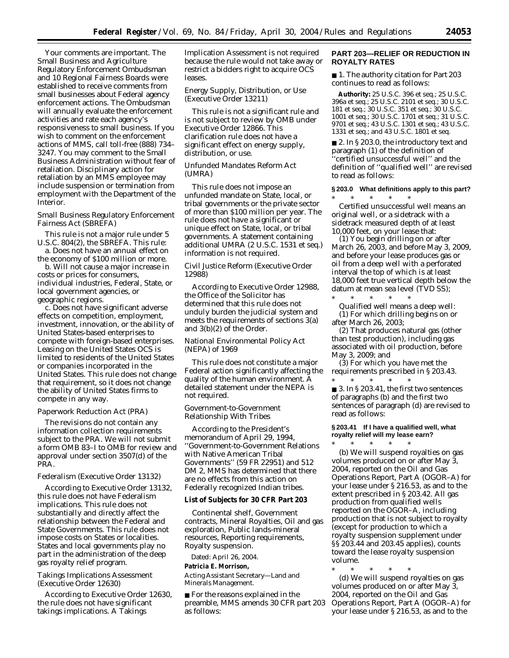Your comments are important. The Small Business and Agriculture Regulatory Enforcement Ombudsman and 10 Regional Fairness Boards were established to receive comments from small businesses about Federal agency enforcement actions. The Ombudsman will annually evaluate the enforcement activities and rate each agency's responsiveness to small business. If you wish to comment on the enforcement actions of MMS, call toll-free (888) 734– 3247. You may comment to the Small Business Administration without fear of retaliation. Disciplinary action for retaliation by an MMS employee may include suspension or termination from employment with the Department of the Interior.

## *Small Business Regulatory Enforcement Fairness Act (SBREFA)*

This rule is not a major rule under 5 U.S.C. 804(2), the SBREFA. This rule:

a. Does not have an annual effect on the economy of \$100 million or more.

b. Will not cause a major increase in costs or prices for consumers, individual industries, Federal, State, or local government agencies, or geographic regions.

c. Does not have significant adverse effects on competition, employment, investment, innovation, or the ability of United States-based enterprises to compete with foreign-based enterprises. Leasing on the United States OCS is limited to residents of the United States or companies incorporated in the United States. This rule does not change that requirement, so it does not change the ability of United States firms to compete in any way.

## *Paperwork Reduction Act (PRA)*

The revisions do not contain any information collection requirements subject to the PRA. We will not submit a form OMB 83–I to OMB for review and approval under section 3507(d) of the PRA.

#### *Federalism (Executive Order 13132)*

According to Executive Order 13132, this rule does not have Federalism implications. This rule does not substantially and directly affect the relationship between the Federal and State Governments. This rule does not impose costs on States or localities. States and local governments play no part in the administration of the deep gas royalty relief program.

## *Takings Implications Assessment (Executive Order 12630)*

According to Executive Order 12630, the rule does not have significant takings implications. A Takings

Implication Assessment is not required because the rule would not take away or restrict a bidders right to acquire OCS leases.

## *Energy Supply, Distribution, or Use (Executive Order 13211)*

This rule is not a significant rule and is not subject to review by OMB under Executive Order 12866. This clarification rule does not have a significant effect on energy supply, distribution, or use.

## *Unfunded Mandates Reform Act (UMRA)*

This rule does not impose an unfunded mandate on State, local, or tribal governments or the private sector of more than \$100 million per year. The rule does not have a significant or unique effect on State, local, or tribal governments. A statement containing additional UMRA (2 U.S.C. 1531 *et seq.*) information is not required.

## *Civil Justice Reform (Executive Order 12988)*

According to Executive Order 12988, the Office of the Solicitor has determined that this rule does not unduly burden the judicial system and meets the requirements of sections 3(a) and 3(b)(2) of the Order.

## *National Environmental Policy Act (NEPA) of 1969*

This rule does not constitute a major Federal action significantly affecting the quality of the human environment. A detailed statement under the NEPA is not required.

## *Government-to-Government Relationship With Tribes*

According to the President's memorandum of April 29, 1994, ''Government-to-Government Relations with Native American Tribal Governments'' (59 FR 22951) and 512 DM 2, MMS has determined that there are no effects from this action on Federally recognized Indian tribes.

## **List of Subjects for 30 CFR Part 203**

Continental shelf, Government contracts, Mineral Royalties, Oil and gas exploration, Public lands-mineral resources, Reporting requirements, Royalty suspension.

Dated: April 26, 2004.

#### **Patricia E. Morrison,**

*Acting Assistant Secretary—Land and Minerals Management.*

■ For the reasons explained in the preamble, MMS amends 30 CFR part 203 as follows:

## **PART 203—RELIEF OR REDUCTION IN ROYALTY RATES**

■ 1. The authority citation for Part 203 continues to read as follows:

**Authority:** 25 U.S.C. 396 *et seq.*; 25 U.S.C. 396a *et seq.*; 25 U.S.C. 2101 *et seq.*; 30 U.S.C. *et seq.*; 30 U.S.C. 351 *et seq.*; 30 U.S.C. *et seq.*; 30 U.S.C. 1701 *et seq.*; 31 U.S.C. *et seq.*; 43 U.S.C. 1301 *et seq.*; 43 U.S.C. *et seq.*; and 43 U.S.C. 1801 *et seq.*

■ 2. In § 203.0, the introductory text and paragraph (1) of the definition of ''certified unsuccessful well'' and the definition of ''qualified well'' are revised to read as follows:

## **§ 203.0 What definitions apply to this part?** \* \* \* \* \*

*Certified unsuccessful well* means an original well, or a sidetrack with a sidetrack measured depth of at least 10,000 feet, on your lease that:

(1) You begin drilling on or after March 26, 2003, and before May 3, 2009, and before your lease produces gas or oil from a deep well with a perforated interval the top of which is at least 18,000 feet true vertical depth below the datum at mean sea level (TVD SS);

\* \* \* \* \* *Qualified well* means a deep well: (1) For which drilling begins on or after March 26, 2003;

(2) That produces natural gas (other than test production), including gas associated with oil production, before May 3, 2009; and

(3) For which you have met the requirements prescribed in § 203.43.

\* \* \* \* \* ■ 3. In § 203.41, the first two sentences of paragraphs (b) and the first two sentences of paragraph (d) are revised to read as follows:

## **§ 203.41 If I have a qualified well, what royalty relief will my lease earn?** \* \* \* \* \*

(b) We will suspend royalties on gas volumes produced on or after May 3, 2004, reported on the Oil and Gas Operations Report, Part A (OGOR–A) for your lease under § 216.53, as and to the extent prescribed in § 203.42. All gas production from qualified wells reported on the OGOR–A, including production that is not subject to royalty (except for production to which a royalty suspension supplement under §§ 203.44 and 203.45 applies), counts toward the lease royalty suspension volume.

\* \* \* \* \* (d) We will suspend royalties on gas volumes produced on or after May 3, 2004, reported on the Oil and Gas Operations Report, Part A (OGOR–A) for your lease under § 216.53, as and to the